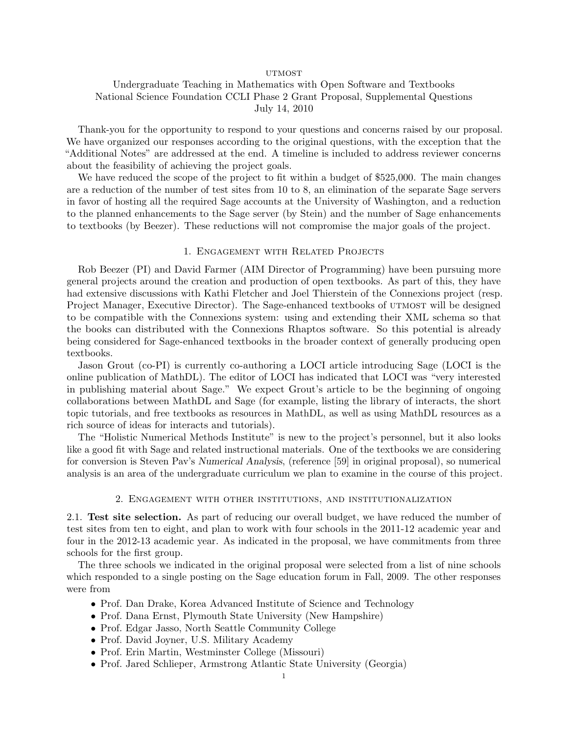#### **UTMOST**

# Undergraduate Teaching in Mathematics with Open Software and Textbooks National Science Foundation CCLI Phase 2 Grant Proposal, Supplemental Questions July 14, 2010

Thank-you for the opportunity to respond to your questions and concerns raised by our proposal. We have organized our responses according to the original questions, with the exception that the "Additional Notes" are addressed at the end. A timeline is included to address reviewer concerns about the feasibility of achieving the project goals.

We have reduced the scope of the project to fit within a budget of \$525,000. The main changes are a reduction of the number of test sites from 10 to 8, an elimination of the separate Sage servers in favor of hosting all the required Sage accounts at the University of Washington, and a reduction to the planned enhancements to the Sage server (by Stein) and the number of Sage enhancements to textbooks (by Beezer). These reductions will not compromise the major goals of the project.

#### 1. Engagement with Related Projects

Rob Beezer (PI) and David Farmer (AIM Director of Programming) have been pursuing more general projects around the creation and production of open textbooks. As part of this, they have had extensive discussions with Kathi Fletcher and Joel Thierstein of the Connexions project (resp. Project Manager, Executive Director). The Sage-enhanced textbooks of UTMOST will be designed to be compatible with the Connexions system: using and extending their XML schema so that the books can distributed with the Connexions Rhaptos software. So this potential is already being considered for Sage-enhanced textbooks in the broader context of generally producing open textbooks.

Jason Grout (co-PI) is currently co-authoring a LOCI article introducing Sage (LOCI is the online publication of MathDL). The editor of LOCI has indicated that LOCI was "very interested in publishing material about Sage." We expect Grout's article to be the beginning of ongoing collaborations between MathDL and Sage (for example, listing the library of interacts, the short topic tutorials, and free textbooks as resources in MathDL, as well as using MathDL resources as a rich source of ideas for interacts and tutorials).

The "Holistic Numerical Methods Institute" is new to the project's personnel, but it also looks like a good fit with Sage and related instructional materials. One of the textbooks we are considering for conversion is Steven Pav's Numerical Analysis, (reference [59] in original proposal), so numerical analysis is an area of the undergraduate curriculum we plan to examine in the course of this project.

## 2. Engagement with other institutions, and institutionalization

2.1. Test site selection. As part of reducing our overall budget, we have reduced the number of test sites from ten to eight, and plan to work with four schools in the 2011-12 academic year and four in the 2012-13 academic year. As indicated in the proposal, we have commitments from three schools for the first group.

The three schools we indicated in the original proposal were selected from a list of nine schools which responded to a single posting on the Sage education forum in Fall, 2009. The other responses were from

- Prof. Dan Drake, Korea Advanced Institute of Science and Technology
- Prof. Dana Ernst, Plymouth State University (New Hampshire)
- Prof. Edgar Jasso, North Seattle Community College
- Prof. David Joyner, U.S. Military Academy
- Prof. Erin Martin, Westminster College (Missouri)
- Prof. Jared Schlieper, Armstrong Atlantic State University (Georgia)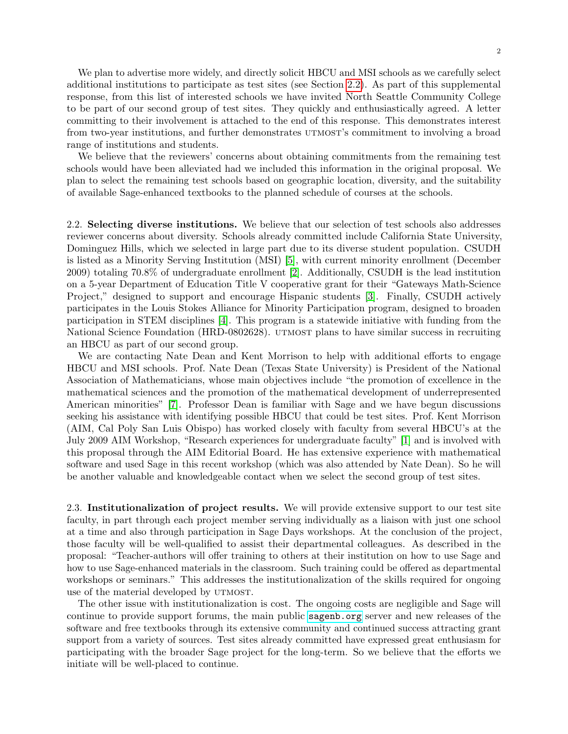We plan to advertise more widely, and directly solicit HBCU and MSI schools as we carefully select additional institutions to participate as test sites (see Section [2.2\)](#page-1-0). As part of this supplemental response, from this list of interested schools we have invited North Seattle Community College to be part of our second group of test sites. They quickly and enthusiastically agreed. A letter committing to their involvement is attached to the end of this response. This demonstrates interest from two-year institutions, and further demonstrates UTMOST's commitment to involving a broad range of institutions and students.

We believe that the reviewers' concerns about obtaining commitments from the remaining test schools would have been alleviated had we included this information in the original proposal. We plan to select the remaining test schools based on geographic location, diversity, and the suitability of available Sage-enhanced textbooks to the planned schedule of courses at the schools.

<span id="page-1-0"></span>2.2. Selecting diverse institutions. We believe that our selection of test schools also addresses reviewer concerns about diversity. Schools already committed include California State University, Dominguez Hills, which we selected in large part due to its diverse student population. CSUDH is listed as a Minority Serving Institution (MSI) [\[5\]](#page-8-0), with current minority enrollment (December 2009) totaling 70.8% of undergraduate enrollment [\[2\]](#page-8-1). Additionally, CSUDH is the lead institution on a 5-year Department of Education Title V cooperative grant for their "Gateways Math-Science Project," designed to support and encourage Hispanic students [\[3\]](#page-8-2). Finally, CSUDH actively participates in the Louis Stokes Alliance for Minority Participation program, designed to broaden participation in STEM disciplines [\[4\]](#page-8-3). This program is a statewide initiative with funding from the National Science Foundation (HRD-0802628). UTMOST plans to have similar success in recruiting an HBCU as part of our second group.

We are contacting Nate Dean and Kent Morrison to help with additional efforts to engage HBCU and MSI schools. Prof. Nate Dean (Texas State University) is President of the National Association of Mathematicians, whose main objectives include "the promotion of excellence in the mathematical sciences and the promotion of the mathematical development of underrepresented American minorities" [\[7\]](#page-8-4). Professor Dean is familiar with Sage and we have begun discussions seeking his assistance with identifying possible HBCU that could be test sites. Prof. Kent Morrison (AIM, Cal Poly San Luis Obispo) has worked closely with faculty from several HBCU's at the July 2009 AIM Workshop, "Research experiences for undergraduate faculty" [\[1\]](#page-8-5) and is involved with this proposal through the AIM Editorial Board. He has extensive experience with mathematical software and used Sage in this recent workshop (which was also attended by Nate Dean). So he will be another valuable and knowledgeable contact when we select the second group of test sites.

2.3. Institutionalization of project results. We will provide extensive support to our test site faculty, in part through each project member serving individually as a liaison with just one school at a time and also through participation in Sage Days workshops. At the conclusion of the project, those faculty will be well-qualified to assist their departmental colleagues. As described in the proposal: "Teacher-authors will offer training to others at their institution on how to use Sage and how to use Sage-enhanced materials in the classroom. Such training could be offered as departmental workshops or seminars." This addresses the institutionalization of the skills required for ongoing use of the material developed by UTMOST.

The other issue with institutionalization is cost. The ongoing costs are negligible and Sage will continue to provide support forums, the main public <sagenb.org> server and new releases of the software and free textbooks through its extensive community and continued success attracting grant support from a variety of sources. Test sites already committed have expressed great enthusiasm for participating with the broader Sage project for the long-term. So we believe that the efforts we initiate will be well-placed to continue.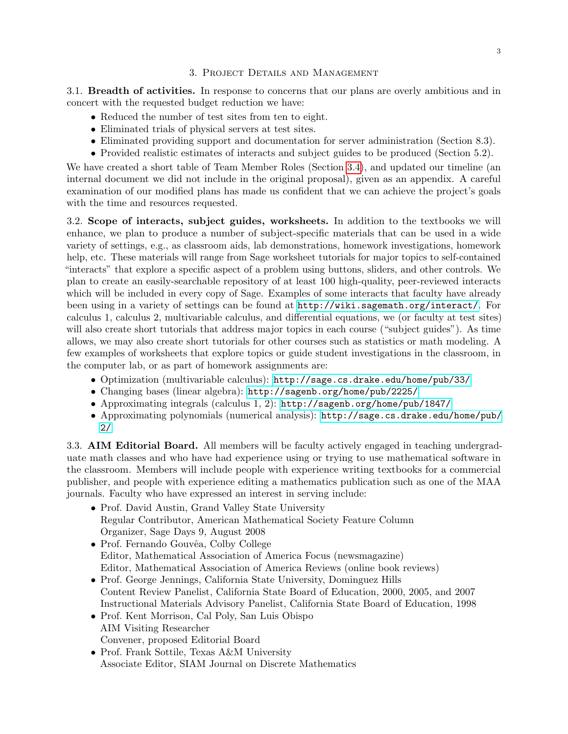## 3. Project Details and Management

3.1. Breadth of activities. In response to concerns that our plans are overly ambitious and in concert with the requested budget reduction we have:

- Reduced the number of test sites from ten to eight.
- Eliminated trials of physical servers at test sites.
- Eliminated providing support and documentation for server administration (Section 8.3).
- Provided realistic estimates of interacts and subject guides to be produced (Section 5.2).

We have created a short table of Team Member Roles (Section [3.4\)](#page-3-0), and updated our timeline (an internal document we did not include in the original proposal), given as an appendix. A careful examination of our modified plans has made us confident that we can achieve the project's goals with the time and resources requested.

3.2. Scope of interacts, subject guides, worksheets. In addition to the textbooks we will enhance, we plan to produce a number of subject-specific materials that can be used in a wide variety of settings, e.g., as classroom aids, lab demonstrations, homework investigations, homework help, etc. These materials will range from Sage worksheet tutorials for major topics to self-contained "interacts" that explore a specific aspect of a problem using buttons, sliders, and other controls. We plan to create an easily-searchable repository of at least 100 high-quality, peer-reviewed interacts which will be included in every copy of Sage. Examples of some interacts that faculty have already been using in a variety of settings can be found at <http://wiki.sagemath.org/interact/>. For calculus 1, calculus 2, multivariable calculus, and differential equations, we (or faculty at test sites) will also create short tutorials that address major topics in each course ("subject guides"). As time allows, we may also create short tutorials for other courses such as statistics or math modeling. A few examples of worksheets that explore topics or guide student investigations in the classroom, in the computer lab, or as part of homework assignments are:

- Optimization (multivariable calculus): <http://sage.cs.drake.edu/home/pub/33/>
- Changing bases (linear algebra): <http://sagenb.org/home/pub/2225/>
- Approximating integrals (calculus 1, 2): <http://sagenb.org/home/pub/1847/>
- Approximating polynomials (numerical analysis): [http://sage.cs.drake.edu/home/pub/](http://sage.cs.drake.edu/home/pub/2/) [2/](http://sage.cs.drake.edu/home/pub/2/)

3.3. AIM Editorial Board. All members will be faculty actively engaged in teaching undergraduate math classes and who have had experience using or trying to use mathematical software in the classroom. Members will include people with experience writing textbooks for a commercial publisher, and people with experience editing a mathematics publication such as one of the MAA journals. Faculty who have expressed an interest in serving include:

- Prof. David Austin, Grand Valley State University Regular Contributor, American Mathematical Society Feature Column Organizer, Sage Days 9, August 2008
- Prof. Fernando Gouvêa, Colby College Editor, Mathematical Association of America Focus (newsmagazine) Editor, Mathematical Association of America Reviews (online book reviews)
- Prof. George Jennings, California State University, Dominguez Hills Content Review Panelist, California State Board of Education, 2000, 2005, and 2007 Instructional Materials Advisory Panelist, California State Board of Education, 1998
- Prof. Kent Morrison, Cal Poly, San Luis Obispo AIM Visiting Researcher Convener, proposed Editorial Board
- Prof. Frank Sottile, Texas A&M University Associate Editor, SIAM Journal on Discrete Mathematics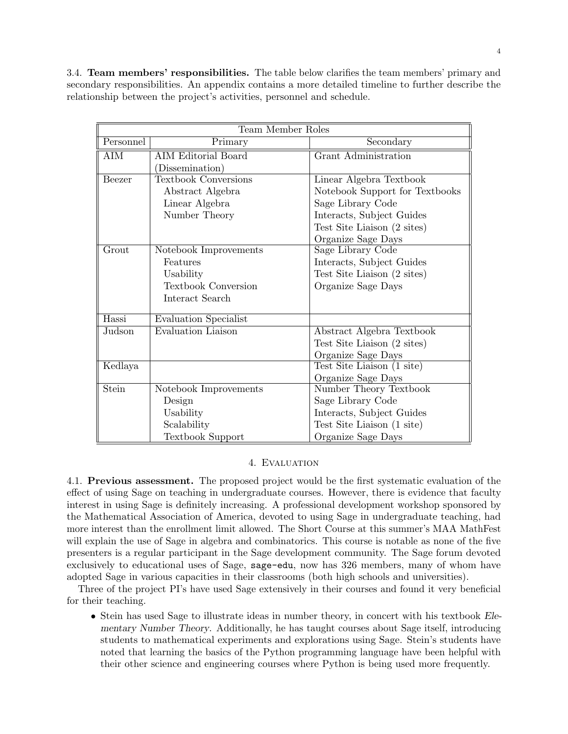<span id="page-3-0"></span>3.4. Team members' responsibilities. The table below clarifies the team members' primary and secondary responsibilities. An appendix contains a more detailed timeline to further describe the relationship between the project's activities, personnel and schedule.

| Team Member Roles |                             |                                                           |  |  |  |  |  |  |  |
|-------------------|-----------------------------|-----------------------------------------------------------|--|--|--|--|--|--|--|
| Personnel         | Primary                     | Secondary                                                 |  |  |  |  |  |  |  |
| AIM               | <b>AIM Editorial Board</b>  | Grant Administration                                      |  |  |  |  |  |  |  |
|                   | (Dissemination)             |                                                           |  |  |  |  |  |  |  |
| Beezer            | <b>Textbook Conversions</b> | Linear Algebra Textbook<br>Notebook Support for Textbooks |  |  |  |  |  |  |  |
|                   | Abstract Algebra            |                                                           |  |  |  |  |  |  |  |
|                   | Linear Algebra              | Sage Library Code                                         |  |  |  |  |  |  |  |
|                   | Number Theory               | Interacts, Subject Guides                                 |  |  |  |  |  |  |  |
|                   |                             | Test Site Liaison (2 sites)                               |  |  |  |  |  |  |  |
|                   |                             | Organize Sage Days                                        |  |  |  |  |  |  |  |
| Grout             | Notebook Improvements       | Sage Library Code                                         |  |  |  |  |  |  |  |
|                   | Features                    | Interacts, Subject Guides                                 |  |  |  |  |  |  |  |
|                   | Usability                   | Test Site Liaison (2 sites)                               |  |  |  |  |  |  |  |
|                   | <b>Textbook Conversion</b>  | Organize Sage Days                                        |  |  |  |  |  |  |  |
|                   | Interact Search             |                                                           |  |  |  |  |  |  |  |
| Hassi             | Evaluation Specialist       |                                                           |  |  |  |  |  |  |  |
| Judson            | Evaluation Liaison          | Abstract Algebra Textbook                                 |  |  |  |  |  |  |  |
|                   |                             | Test Site Liaison (2 sites)                               |  |  |  |  |  |  |  |
|                   |                             | Organize Sage Days                                        |  |  |  |  |  |  |  |
| Kedlaya           |                             | Test Site Liaison (1 site)                                |  |  |  |  |  |  |  |
|                   |                             | Organize Sage Days                                        |  |  |  |  |  |  |  |
| Stein             | Notebook Improvements       | Number Theory Textbook                                    |  |  |  |  |  |  |  |
|                   | Design                      | Sage Library Code                                         |  |  |  |  |  |  |  |
|                   | Usability                   | Interacts, Subject Guides                                 |  |  |  |  |  |  |  |
|                   | Scalability                 | Test Site Liaison (1 site)                                |  |  |  |  |  |  |  |
|                   | Textbook Support            | Organize Sage Days                                        |  |  |  |  |  |  |  |

## 4. Evaluation

4.1. Previous assessment. The proposed project would be the first systematic evaluation of the effect of using Sage on teaching in undergraduate courses. However, there is evidence that faculty interest in using Sage is definitely increasing. A professional development workshop sponsored by the Mathematical Association of America, devoted to using Sage in undergraduate teaching, had more interest than the enrollment limit allowed. The Short Course at this summer's MAA MathFest will explain the use of Sage in algebra and combinatorics. This course is notable as none of the five presenters is a regular participant in the Sage development community. The Sage forum devoted exclusively to educational uses of Sage, sage-edu, now has 326 members, many of whom have adopted Sage in various capacities in their classrooms (both high schools and universities).

Three of the project PI's have used Sage extensively in their courses and found it very beneficial for their teaching.

• Stein has used Sage to illustrate ideas in number theory, in concert with his textbook Elementary Number Theory. Additionally, he has taught courses about Sage itself, introducing students to mathematical experiments and explorations using Sage. Stein's students have noted that learning the basics of the Python programming language have been helpful with their other science and engineering courses where Python is being used more frequently.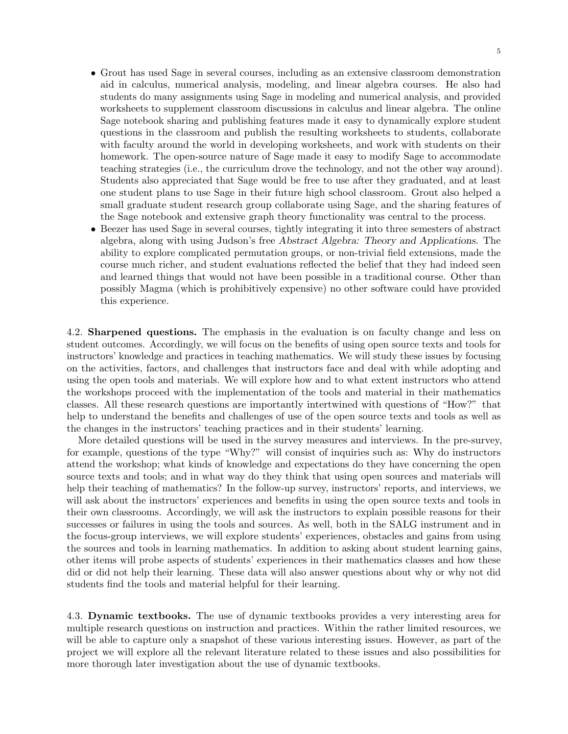5

- Grout has used Sage in several courses, including as an extensive classroom demonstration aid in calculus, numerical analysis, modeling, and linear algebra courses. He also had students do many assignments using Sage in modeling and numerical analysis, and provided worksheets to supplement classroom discussions in calculus and linear algebra. The online Sage notebook sharing and publishing features made it easy to dynamically explore student questions in the classroom and publish the resulting worksheets to students, collaborate with faculty around the world in developing worksheets, and work with students on their homework. The open-source nature of Sage made it easy to modify Sage to accommodate teaching strategies (i.e., the curriculum drove the technology, and not the other way around). Students also appreciated that Sage would be free to use after they graduated, and at least one student plans to use Sage in their future high school classroom. Grout also helped a small graduate student research group collaborate using Sage, and the sharing features of the Sage notebook and extensive graph theory functionality was central to the process.
- Beezer has used Sage in several courses, tightly integrating it into three semesters of abstract algebra, along with using Judson's free Abstract Algebra: Theory and Applications. The ability to explore complicated permutation groups, or non-trivial field extensions, made the course much richer, and student evaluations reflected the belief that they had indeed seen and learned things that would not have been possible in a traditional course. Other than possibly Magma (which is prohibitively expensive) no other software could have provided this experience.

4.2. Sharpened questions. The emphasis in the evaluation is on faculty change and less on student outcomes. Accordingly, we will focus on the benefits of using open source texts and tools for instructors' knowledge and practices in teaching mathematics. We will study these issues by focusing on the activities, factors, and challenges that instructors face and deal with while adopting and using the open tools and materials. We will explore how and to what extent instructors who attend the workshops proceed with the implementation of the tools and material in their mathematics classes. All these research questions are importantly intertwined with questions of "How?" that help to understand the benefits and challenges of use of the open source texts and tools as well as the changes in the instructors' teaching practices and in their students' learning.

More detailed questions will be used in the survey measures and interviews. In the pre-survey, for example, questions of the type "Why?" will consist of inquiries such as: Why do instructors attend the workshop; what kinds of knowledge and expectations do they have concerning the open source texts and tools; and in what way do they think that using open sources and materials will help their teaching of mathematics? In the follow-up survey, instructors' reports, and interviews, we will ask about the instructors' experiences and benefits in using the open source texts and tools in their own classrooms. Accordingly, we will ask the instructors to explain possible reasons for their successes or failures in using the tools and sources. As well, both in the SALG instrument and in the focus-group interviews, we will explore students' experiences, obstacles and gains from using the sources and tools in learning mathematics. In addition to asking about student learning gains, other items will probe aspects of students' experiences in their mathematics classes and how these did or did not help their learning. These data will also answer questions about why or why not did students find the tools and material helpful for their learning.

4.3. Dynamic textbooks. The use of dynamic textbooks provides a very interesting area for multiple research questions on instruction and practices. Within the rather limited resources, we will be able to capture only a snapshot of these various interesting issues. However, as part of the project we will explore all the relevant literature related to these issues and also possibilities for more thorough later investigation about the use of dynamic textbooks.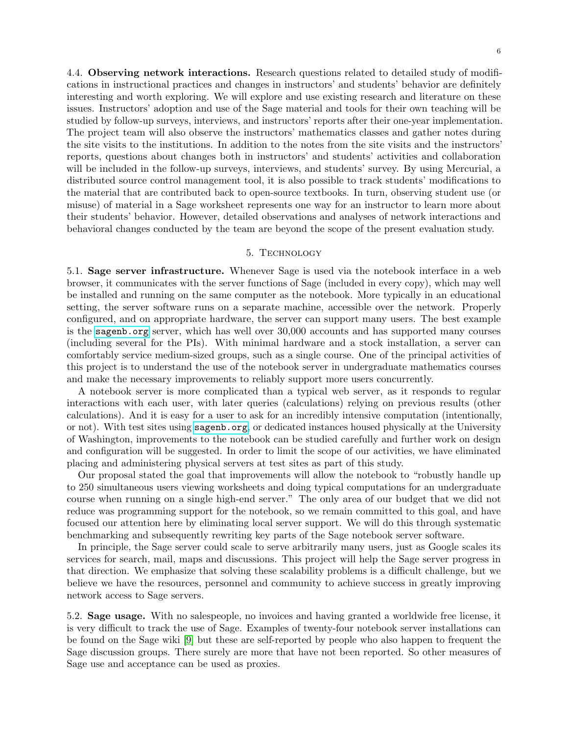4.4. Observing network interactions. Research questions related to detailed study of modifications in instructional practices and changes in instructors' and students' behavior are definitely interesting and worth exploring. We will explore and use existing research and literature on these issues. Instructors' adoption and use of the Sage material and tools for their own teaching will be studied by follow-up surveys, interviews, and instructors' reports after their one-year implementation. The project team will also observe the instructors' mathematics classes and gather notes during the site visits to the institutions. In addition to the notes from the site visits and the instructors' reports, questions about changes both in instructors' and students' activities and collaboration will be included in the follow-up surveys, interviews, and students' survey. By using Mercurial, a distributed source control management tool, it is also possible to track students' modifications to the material that are contributed back to open-source textbooks. In turn, observing student use (or misuse) of material in a Sage worksheet represents one way for an instructor to learn more about their students' behavior. However, detailed observations and analyses of network interactions and behavioral changes conducted by the team are beyond the scope of the present evaluation study.

#### 5. Technology

5.1. Sage server infrastructure. Whenever Sage is used via the notebook interface in a web browser, it communicates with the server functions of Sage (included in every copy), which may well be installed and running on the same computer as the notebook. More typically in an educational setting, the server software runs on a separate machine, accessible over the network. Properly configured, and on appropriate hardware, the server can support many users. The best example is the <sagenb.org> server, which has well over 30,000 accounts and has supported many courses (including several for the PIs). With minimal hardware and a stock installation, a server can comfortably service medium-sized groups, such as a single course. One of the principal activities of this project is to understand the use of the notebook server in undergraduate mathematics courses and make the necessary improvements to reliably support more users concurrently.

A notebook server is more complicated than a typical web server, as it responds to regular interactions with each user, with later queries (calculations) relying on previous results (other calculations). And it is easy for a user to ask for an incredibly intensive computation (intentionally, or not). With test sites using <sagenb.org>, or dedicated instances housed physically at the University of Washington, improvements to the notebook can be studied carefully and further work on design and configuration will be suggested. In order to limit the scope of our activities, we have eliminated placing and administering physical servers at test sites as part of this study.

Our proposal stated the goal that improvements will allow the notebook to "robustly handle up to 250 simultaneous users viewing worksheets and doing typical computations for an undergraduate course when running on a single high-end server." The only area of our budget that we did not reduce was programming support for the notebook, so we remain committed to this goal, and have focused our attention here by eliminating local server support. We will do this through systematic benchmarking and subsequently rewriting key parts of the Sage notebook server software.

In principle, the Sage server could scale to serve arbitrarily many users, just as Google scales its services for search, mail, maps and discussions. This project will help the Sage server progress in that direction. We emphasize that solving these scalability problems is a difficult challenge, but we believe we have the resources, personnel and community to achieve success in greatly improving network access to Sage servers.

5.2. Sage usage. With no salespeople, no invoices and having granted a worldwide free license, it is very difficult to track the use of Sage. Examples of twenty-four notebook server installations can be found on the Sage wiki [\[9\]](#page-8-6) but these are self-reported by people who also happen to frequent the Sage discussion groups. There surely are more that have not been reported. So other measures of Sage use and acceptance can be used as proxies.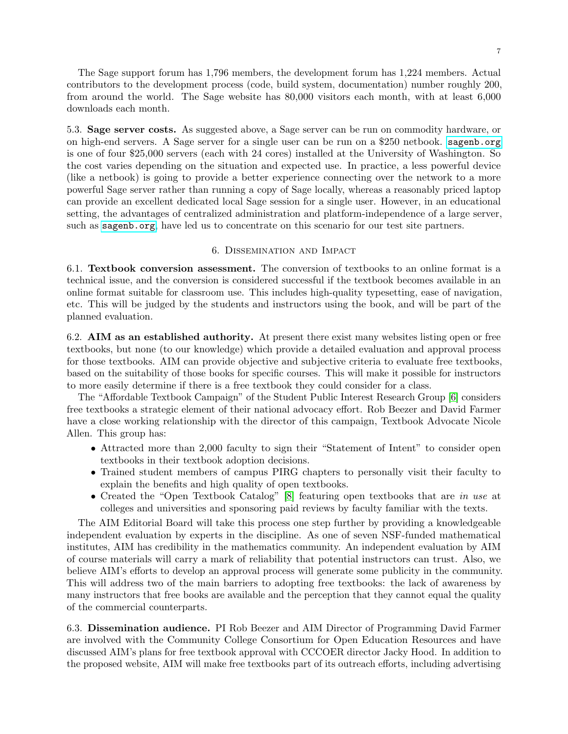The Sage support forum has 1,796 members, the development forum has 1,224 members. Actual contributors to the development process (code, build system, documentation) number roughly 200, from around the world. The Sage website has 80,000 visitors each month, with at least 6,000 downloads each month.

5.3. Sage server costs. As suggested above, a Sage server can be run on commodity hardware, or on high-end servers. A Sage server for a single user can be run on a \$250 netbook. <sagenb.org> is one of four \$25,000 servers (each with 24 cores) installed at the University of Washington. So the cost varies depending on the situation and expected use. In practice, a less powerful device (like a netbook) is going to provide a better experience connecting over the network to a more powerful Sage server rather than running a copy of Sage locally, whereas a reasonably priced laptop can provide an excellent dedicated local Sage session for a single user. However, in an educational setting, the advantages of centralized administration and platform-independence of a large server, such as <sagenb.org>, have led us to concentrate on this scenario for our test site partners.

## 6. Dissemination and Impact

6.1. Textbook conversion assessment. The conversion of textbooks to an online format is a technical issue, and the conversion is considered successful if the textbook becomes available in an online format suitable for classroom use. This includes high-quality typesetting, ease of navigation, etc. This will be judged by the students and instructors using the book, and will be part of the planned evaluation.

6.2. AIM as an established authority. At present there exist many websites listing open or free textbooks, but none (to our knowledge) which provide a detailed evaluation and approval process for those textbooks. AIM can provide objective and subjective criteria to evaluate free textbooks, based on the suitability of those books for specific courses. This will make it possible for instructors to more easily determine if there is a free textbook they could consider for a class.

The "Affordable Textbook Campaign" of the Student Public Interest Research Group [\[6\]](#page-8-7) considers free textbooks a strategic element of their national advocacy effort. Rob Beezer and David Farmer have a close working relationship with the director of this campaign, Textbook Advocate Nicole Allen. This group has:

- Attracted more than 2,000 faculty to sign their "Statement of Intent" to consider open textbooks in their textbook adoption decisions.
- Trained student members of campus PIRG chapters to personally visit their faculty to explain the benefits and high quality of open textbooks.
- Created the "Open Textbook Catalog" [\[8\]](#page-8-8) featuring open textbooks that are in use at colleges and universities and sponsoring paid reviews by faculty familiar with the texts.

The AIM Editorial Board will take this process one step further by providing a knowledgeable independent evaluation by experts in the discipline. As one of seven NSF-funded mathematical institutes, AIM has credibility in the mathematics community. An independent evaluation by AIM of course materials will carry a mark of reliability that potential instructors can trust. Also, we believe AIM's efforts to develop an approval process will generate some publicity in the community. This will address two of the main barriers to adopting free textbooks: the lack of awareness by many instructors that free books are available and the perception that they cannot equal the quality of the commercial counterparts.

6.3. Dissemination audience. PI Rob Beezer and AIM Director of Programming David Farmer are involved with the Community College Consortium for Open Education Resources and have discussed AIM's plans for free textbook approval with CCCOER director Jacky Hood. In addition to the proposed website, AIM will make free textbooks part of its outreach efforts, including advertising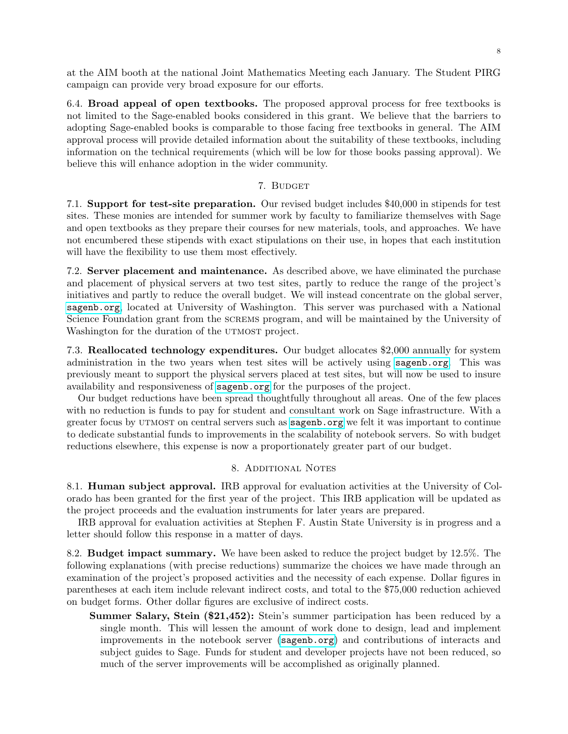at the AIM booth at the national Joint Mathematics Meeting each January. The Student PIRG campaign can provide very broad exposure for our efforts.

6.4. Broad appeal of open textbooks. The proposed approval process for free textbooks is not limited to the Sage-enabled books considered in this grant. We believe that the barriers to adopting Sage-enabled books is comparable to those facing free textbooks in general. The AIM approval process will provide detailed information about the suitability of these textbooks, including information on the technical requirements (which will be low for those books passing approval). We believe this will enhance adoption in the wider community.

## 7. BUDGET

7.1. Support for test-site preparation. Our revised budget includes \$40,000 in stipends for test sites. These monies are intended for summer work by faculty to familiarize themselves with Sage and open textbooks as they prepare their courses for new materials, tools, and approaches. We have not encumbered these stipends with exact stipulations on their use, in hopes that each institution will have the flexibility to use them most effectively.

7.2. Server placement and maintenance. As described above, we have eliminated the purchase and placement of physical servers at two test sites, partly to reduce the range of the project's initiatives and partly to reduce the overall budget. We will instead concentrate on the global server, <sagenb.org>, located at University of Washington. This server was purchased with a National Science Foundation grant from the screms program, and will be maintained by the University of Washington for the duration of the UTMOST project.

7.3. Reallocated technology expenditures. Our budget allocates \$2,000 annually for system administration in the two years when test sites will be actively using <sagenb.org>. This was previously meant to support the physical servers placed at test sites, but will now be used to insure availability and responsiveness of <sagenb.org> for the purposes of the project.

Our budget reductions have been spread thoughtfully throughout all areas. One of the few places with no reduction is funds to pay for student and consultant work on Sage infrastructure. With a greater focus by utmost on central servers such as <sagenb.org> we felt it was important to continue to dedicate substantial funds to improvements in the scalability of notebook servers. So with budget reductions elsewhere, this expense is now a proportionately greater part of our budget.

## 8. Additional Notes

8.1. Human subject approval. IRB approval for evaluation activities at the University of Colorado has been granted for the first year of the project. This IRB application will be updated as the project proceeds and the evaluation instruments for later years are prepared.

IRB approval for evaluation activities at Stephen F. Austin State University is in progress and a letter should follow this response in a matter of days.

8.2. Budget impact summary. We have been asked to reduce the project budget by 12.5%. The following explanations (with precise reductions) summarize the choices we have made through an examination of the project's proposed activities and the necessity of each expense. Dollar figures in parentheses at each item include relevant indirect costs, and total to the \$75,000 reduction achieved on budget forms. Other dollar figures are exclusive of indirect costs.

Summer Salary, Stein (\$21,452): Stein's summer participation has been reduced by a single month. This will lessen the amount of work done to design, lead and implement improvements in the notebook server (<sagenb.org>) and contributions of interacts and subject guides to Sage. Funds for student and developer projects have not been reduced, so much of the server improvements will be accomplished as originally planned.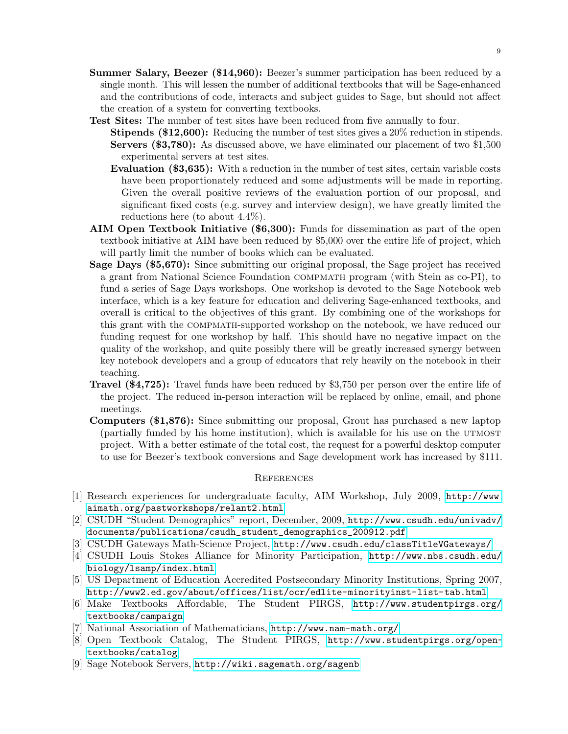- Summer Salary, Beezer (\$14,960): Beezer's summer participation has been reduced by a single month. This will lessen the number of additional textbooks that will be Sage-enhanced and the contributions of code, interacts and subject guides to Sage, but should not affect the creation of a system for converting textbooks.
- Test Sites: The number of test sites have been reduced from five annually to four.
	- Stipends (\$12,600): Reducing the number of test sites gives a 20% reduction in stipends. Servers (\$3,780): As discussed above, we have eliminated our placement of two \$1,500 experimental servers at test sites.
	- Evaluation (\$3,635): With a reduction in the number of test sites, certain variable costs have been proportionately reduced and some adjustments will be made in reporting. Given the overall positive reviews of the evaluation portion of our proposal, and significant fixed costs (e.g. survey and interview design), we have greatly limited the reductions here (to about 4.4%).
- AIM Open Textbook Initiative (\$6,300): Funds for dissemination as part of the open textbook initiative at AIM have been reduced by \$5,000 over the entire life of project, which will partly limit the number of books which can be evaluated.
- Sage Days (\$5,670): Since submitting our original proposal, the Sage project has received a grant from National Science Foundation compmath program (with Stein as co-PI), to fund a series of Sage Days workshops. One workshop is devoted to the Sage Notebook web interface, which is a key feature for education and delivering Sage-enhanced textbooks, and overall is critical to the objectives of this grant. By combining one of the workshops for this grant with the compmath-supported workshop on the notebook, we have reduced our funding request for one workshop by half. This should have no negative impact on the quality of the workshop, and quite possibly there will be greatly increased synergy between key notebook developers and a group of educators that rely heavily on the notebook in their teaching.
- Travel (\$4,725): Travel funds have been reduced by \$3,750 per person over the entire life of the project. The reduced in-person interaction will be replaced by online, email, and phone meetings.
- Computers (\$1,876): Since submitting our proposal, Grout has purchased a new laptop (partially funded by his home institution), which is available for his use on the utmost project. With a better estimate of the total cost, the request for a powerful desktop computer to use for Beezer's textbook conversions and Sage development work has increased by \$111.

#### **REFERENCES**

- <span id="page-8-5"></span>[1] Research experiences for undergraduate faculty, AIM Workshop, July 2009, [http://www.](http://www.aimath.org/pastworkshops/relant2.html) [aimath.org/pastworkshops/relant2.html](http://www.aimath.org/pastworkshops/relant2.html)
- <span id="page-8-1"></span>[2] CSUDH "Student Demographics" report, December, 2009, [http://www.csudh.edu/univadv/](http://www.csudh.edu/univadv/documents/publications/csudh_student_demographics_200912.pdf) [documents/publications/csudh\\_student\\_demographics\\_200912.pdf](http://www.csudh.edu/univadv/documents/publications/csudh_student_demographics_200912.pdf)
- <span id="page-8-2"></span>[3] CSUDH Gateways Math-Science Project, <http://www.csudh.edu/classTitleVGateways/>
- <span id="page-8-3"></span>[4] CSUDH Louis Stokes Alliance for Minority Participation, [http://www.nbs.csudh.edu/](http://www.nbs.csudh.edu/biology/lsamp/index.html) [biology/lsamp/index.html](http://www.nbs.csudh.edu/biology/lsamp/index.html)
- <span id="page-8-0"></span>[5] US Department of Education Accredited Postsecondary Minority Institutions, Spring 2007, <http://www2.ed.gov/about/offices/list/ocr/edlite-minorityinst-list-tab.html>
- <span id="page-8-7"></span>[6] Make Textbooks Affordable, The Student PIRGS, [http://www.studentpirgs.org/](http://www.studentpirgs.org/textbooks/campaign) [textbooks/campaign](http://www.studentpirgs.org/textbooks/campaign)
- <span id="page-8-4"></span>[7] National Association of Mathematicians, <http://www.nam-math.org/>
- <span id="page-8-8"></span>[8] Open Textbook Catalog, The Student PIRGS, [http://www.studentpirgs.org/open](http://www.studentpirgs.org/open-textbooks/catalog)[textbooks/catalog](http://www.studentpirgs.org/open-textbooks/catalog)
- <span id="page-8-6"></span>[9] Sage Notebook Servers, <http://wiki.sagemath.org/sagenb>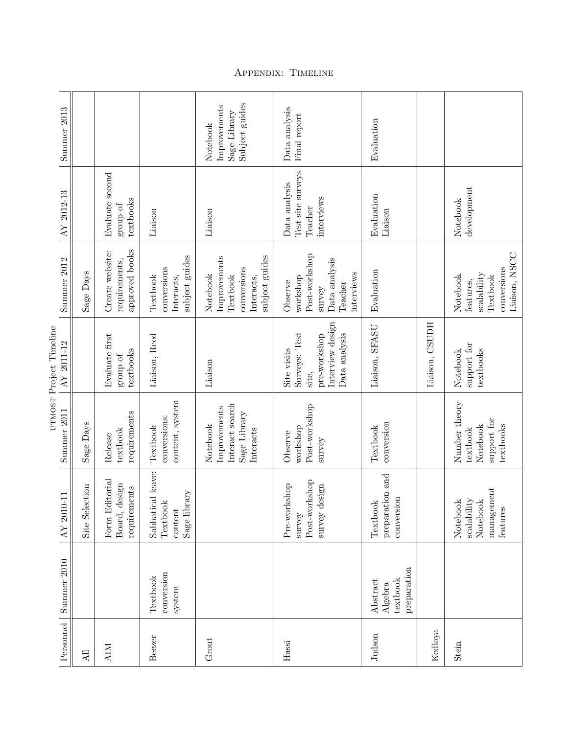| Summer 2013<br>AY 2012-13<br>Summer 2012<br>UTMOST Project Timeline<br>AY 2011-12<br>Summer 2011<br>11<br>$\rm{AY}$ 2010<br>Summer 2010 |           |                |                                                                        |                                                               | Subject guides<br>Improvements<br>Sage Library<br>Notebook                          | Data analysis<br>Final report                                                              | Evaluation                                     |                |                                                                                       |
|-----------------------------------------------------------------------------------------------------------------------------------------|-----------|----------------|------------------------------------------------------------------------|---------------------------------------------------------------|-------------------------------------------------------------------------------------|--------------------------------------------------------------------------------------------|------------------------------------------------|----------------|---------------------------------------------------------------------------------------|
|                                                                                                                                         |           |                | Evaluate second<br>textbooks<br>group of $% \left( \mathcal{N}\right)$ | Liaison                                                       | Liaison                                                                             | Test site surveys<br>Data analysis<br>interviews<br>Teacher                                | Evaluation<br>Liaison                          |                | ${\tt development}$<br>Notebook                                                       |
|                                                                                                                                         |           | Sage Days      | approved books<br>Create website:<br>requirements,                     | subject guides<br>conversions<br>Textbook<br>Interacts,       | Improvements<br>subject guides<br>conversions<br>Notebook<br>Textbook<br>Interacts, | Post-workshop<br>Data analysis<br>interviews<br>workshop<br>Observe<br>Teacher<br>survey   | Evaluation                                     |                | Liaison, NSCC<br>conversions<br>scalability<br>Notebook<br>Textbook<br>features,      |
|                                                                                                                                         |           |                | Evaluate first<br>textbooks<br>group of                                | Liaison, Reed                                                 | Liaison                                                                             | Interview design<br>Surveys: Test<br>Data analysis<br>pre-workshop<br>Site visits<br>site, | Liaison, SFASU                                 | Liaison, CSUDH | support for<br>textbooks<br>Notebook                                                  |
|                                                                                                                                         |           | Sage Days      | requirements<br>textbook<br>Release                                    | content, system<br>conversions:<br>Textbook                   | Interact search<br>Improvements<br>Sage Library<br>Notebook<br>Interacts            | Post-workshop<br>workshop<br>Observe<br>$s$ urve $y$                                       | conversion<br>Textbook                         |                | Number theory<br>support for<br>textbooks<br>Notebook<br>textbook                     |
|                                                                                                                                         |           | Site Selection | Form Editorial<br>Board, design<br>requirements                        | Sabbatical leave:<br>rary<br>Textbook<br>Sage libr<br>content |                                                                                     | Post-workshop<br>Pre-workshop<br>survey design<br>survey                                   | preparation and<br>conversion<br>Textbook      |                | management<br>Notebook<br>$\it{scalarality}$<br>Notebook<br>$\operatorname{features}$ |
|                                                                                                                                         |           |                |                                                                        | conversion<br>Textbook<br>system                              |                                                                                     |                                                                                            | preparation<br>textbook<br>Abstract<br>Algebra |                |                                                                                       |
|                                                                                                                                         | Personnel | All            | <b>AIM</b>                                                             | Beezer                                                        | Grout                                                                               | Hassi                                                                                      | Judson                                         | Kedlaya        | Stein                                                                                 |

Appendix: Timeline